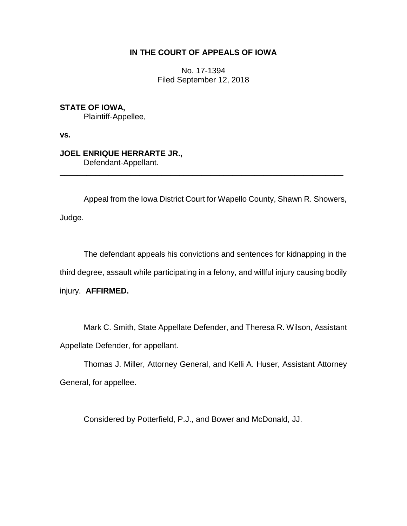# **IN THE COURT OF APPEALS OF IOWA**

No. 17-1394 Filed September 12, 2018

**STATE OF IOWA,** Plaintiff-Appellee,

**vs.**

**JOEL ENRIQUE HERRARTE JR.,** Defendant-Appellant.

Appeal from the Iowa District Court for Wapello County, Shawn R. Showers, Judge.

\_\_\_\_\_\_\_\_\_\_\_\_\_\_\_\_\_\_\_\_\_\_\_\_\_\_\_\_\_\_\_\_\_\_\_\_\_\_\_\_\_\_\_\_\_\_\_\_\_\_\_\_\_\_\_\_\_\_\_\_\_\_\_\_

The defendant appeals his convictions and sentences for kidnapping in the third degree, assault while participating in a felony, and willful injury causing bodily injury. **AFFIRMED.**

Mark C. Smith, State Appellate Defender, and Theresa R. Wilson, Assistant Appellate Defender, for appellant.

Thomas J. Miller, Attorney General, and Kelli A. Huser, Assistant Attorney General, for appellee.

Considered by Potterfield, P.J., and Bower and McDonald, JJ.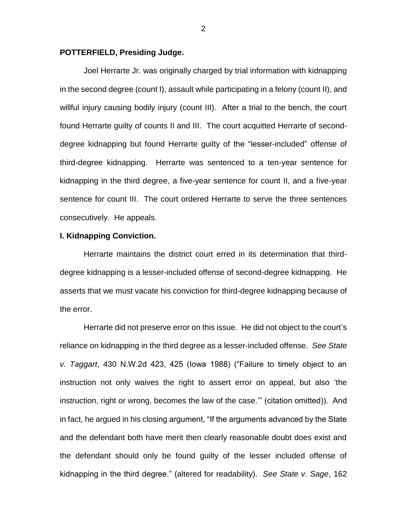# **POTTERFIELD, Presiding Judge.**

Joel Herrarte Jr. was originally charged by trial information with kidnapping in the second degree (count I), assault while participating in a felony (count II), and willful injury causing bodily injury (count III). After a trial to the bench, the court found Herrarte guilty of counts II and III. The court acquitted Herrarte of seconddegree kidnapping but found Herrarte guilty of the "lesser-included" offense of third-degree kidnapping. Herrarte was sentenced to a ten-year sentence for kidnapping in the third degree, a five-year sentence for count II, and a five-year sentence for count III. The court ordered Herrarte to serve the three sentences consecutively. He appeals.

## **I. Kidnapping Conviction.**

Herrarte maintains the district court erred in its determination that thirddegree kidnapping is a lesser-included offense of second-degree kidnapping. He asserts that we must vacate his conviction for third-degree kidnapping because of the error.

Herrarte did not preserve error on this issue. He did not object to the court's reliance on kidnapping in the third degree as a lesser-included offense. *See State v. Taggart*, 430 N.W.2d 423, 425 (Iowa 1988) ("Failure to timely object to an instruction not only waives the right to assert error on appeal, but also 'the instruction, right or wrong, becomes the law of the case.'" (citation omitted)). And in fact, he argued in his closing argument, "If the arguments advanced by the State and the defendant both have merit then clearly reasonable doubt does exist and the defendant should only be found guilty of the lesser included offense of kidnapping in the third degree." (altered for readability). *See State v. Sage*, 162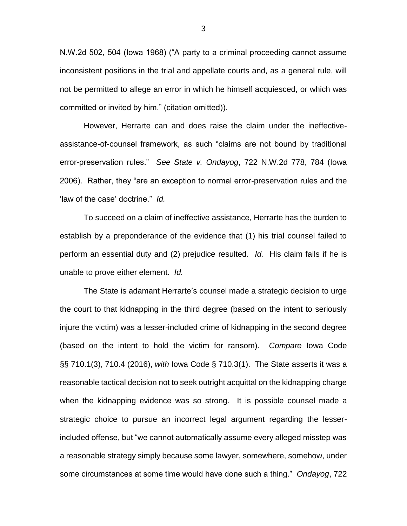N.W.2d 502, 504 (Iowa 1968) ("A party to a criminal proceeding cannot assume inconsistent positions in the trial and appellate courts and, as a general rule, will not be permitted to allege an error in which he himself acquiesced, or which was committed or invited by him." (citation omitted)).

However, Herrarte can and does raise the claim under the ineffectiveassistance-of-counsel framework, as such "claims are not bound by traditional error-preservation rules." *See State v. Ondayog*, 722 N.W.2d 778, 784 (Iowa 2006). Rather, they "are an exception to normal error-preservation rules and the 'law of the case' doctrine." *Id.* 

To succeed on a claim of ineffective assistance, Herrarte has the burden to establish by a preponderance of the evidence that (1) his trial counsel failed to perform an essential duty and (2) prejudice resulted. *Id.* His claim fails if he is unable to prove either element. *Id.* 

The State is adamant Herrarte's counsel made a strategic decision to urge the court to that kidnapping in the third degree (based on the intent to seriously injure the victim) was a lesser-included crime of kidnapping in the second degree (based on the intent to hold the victim for ransom). *Compare* Iowa Code §§ 710.1(3), 710.4 (2016), *with* Iowa Code § 710.3(1). The State asserts it was a reasonable tactical decision not to seek outright acquittal on the kidnapping charge when the kidnapping evidence was so strong. It is possible counsel made a strategic choice to pursue an incorrect legal argument regarding the lesserincluded offense, but "we cannot automatically assume every alleged misstep was a reasonable strategy simply because some lawyer, somewhere, somehow, under some circumstances at some time would have done such a thing." *Ondayog*, 722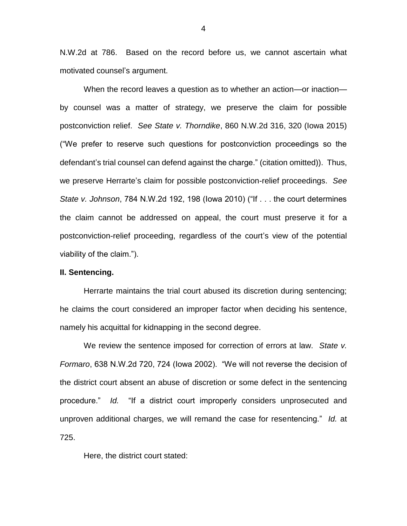N.W.2d at 786. Based on the record before us, we cannot ascertain what motivated counsel's argument.

When the record leaves a question as to whether an action—or inaction by counsel was a matter of strategy, we preserve the claim for possible postconviction relief. *See State v. Thorndike*, 860 N.W.2d 316, 320 (Iowa 2015) ("We prefer to reserve such questions for postconviction proceedings so the defendant's trial counsel can defend against the charge." (citation omitted)). Thus, we preserve Herrarte's claim for possible postconviction-relief proceedings. *See State v. Johnson*, 784 N.W.2d 192, 198 (Iowa 2010) ("If . . . the court determines the claim cannot be addressed on appeal, the court must preserve it for a postconviction-relief proceeding, regardless of the court's view of the potential viability of the claim.").

#### **II. Sentencing.**

Herrarte maintains the trial court abused its discretion during sentencing; he claims the court considered an improper factor when deciding his sentence, namely his acquittal for kidnapping in the second degree.

We review the sentence imposed for correction of errors at law. *State v. Formaro*, 638 N.W.2d 720, 724 (Iowa 2002). "We will not reverse the decision of the district court absent an abuse of discretion or some defect in the sentencing procedure." *Id.* "If a district court improperly considers unprosecuted and unproven additional charges, we will remand the case for resentencing." *Id.* at 725.

Here, the district court stated:

4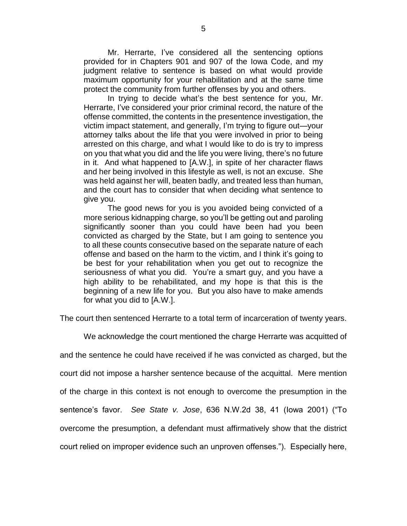Mr. Herrarte, I've considered all the sentencing options provided for in Chapters 901 and 907 of the Iowa Code, and my judgment relative to sentence is based on what would provide maximum opportunity for your rehabilitation and at the same time protect the community from further offenses by you and others.

In trying to decide what's the best sentence for you, Mr. Herrarte, I've considered your prior criminal record, the nature of the offense committed, the contents in the presentence investigation, the victim impact statement, and generally, I'm trying to figure out—your attorney talks about the life that you were involved in prior to being arrested on this charge, and what I would like to do is try to impress on you that what you did and the life you were living, there's no future in it. And what happened to [A.W.], in spite of her character flaws and her being involved in this lifestyle as well, is not an excuse. She was held against her will, beaten badly, and treated less than human, and the court has to consider that when deciding what sentence to give you.

The good news for you is you avoided being convicted of a more serious kidnapping charge, so you'll be getting out and paroling significantly sooner than you could have been had you been convicted as charged by the State, but I am going to sentence you to all these counts consecutive based on the separate nature of each offense and based on the harm to the victim, and I think it's going to be best for your rehabilitation when you get out to recognize the seriousness of what you did. You're a smart guy, and you have a high ability to be rehabilitated, and my hope is that this is the beginning of a new life for you. But you also have to make amends for what you did to [A.W.].

The court then sentenced Herrarte to a total term of incarceration of twenty years.

We acknowledge the court mentioned the charge Herrarte was acquitted of

and the sentence he could have received if he was convicted as charged, but the

court did not impose a harsher sentence because of the acquittal. Mere mention

of the charge in this context is not enough to overcome the presumption in the

sentence's favor. *See State v. Jose*, 636 N.W.2d 38, 41 (Iowa 2001) ("To

overcome the presumption, a defendant must affirmatively show that the district

court relied on improper evidence such an unproven offenses."). Especially here,